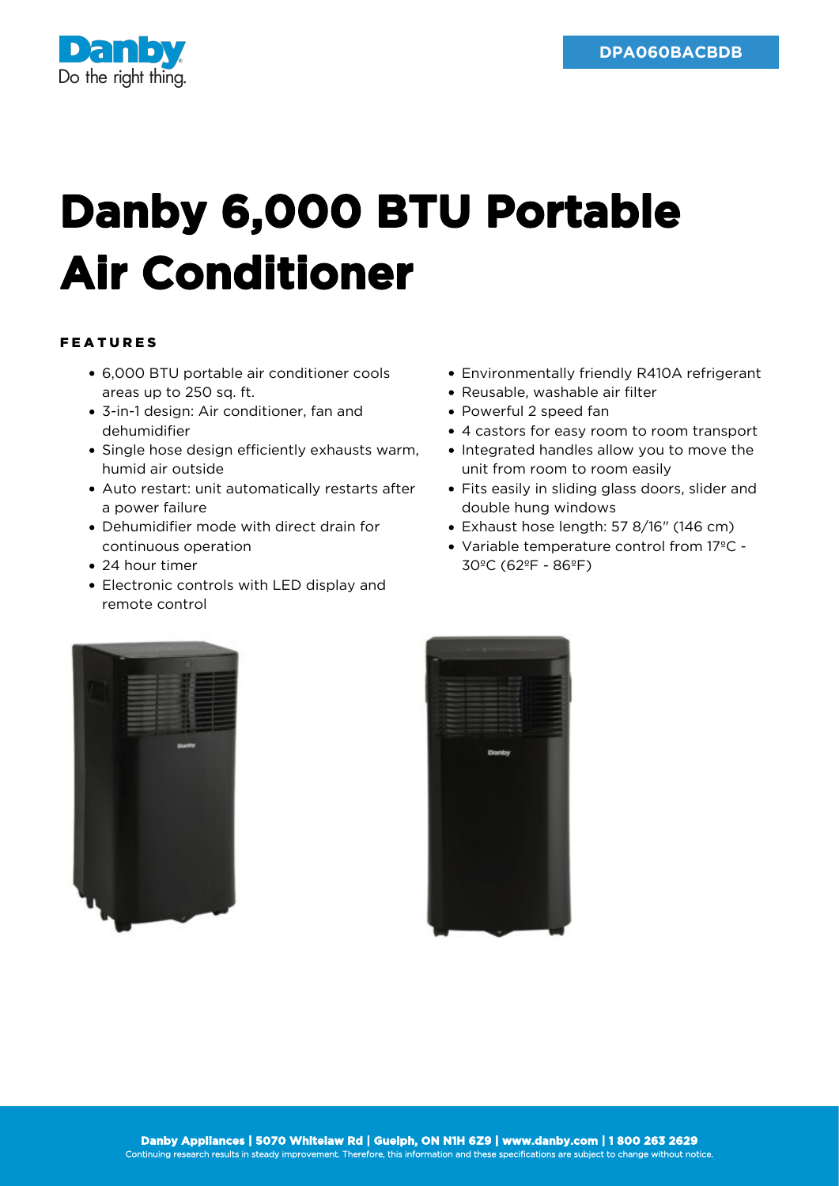

## **Danby 6,000 BTU Portable Air Conditioner**

## FEATURES

- 6,000 BTU portable air conditioner cools areas up to 250 sq. ft.
- 3-in-1 design: Air conditioner, fan and dehumidifier
- Single hose design efficiently exhausts warm, humid air outside
- Auto restart: unit automatically restarts after a power failure
- Dehumidifier mode with direct drain for continuous operation
- 24 hour timer
- Electronic controls with LED display and remote control
- Environmentally friendly R410A refrigerant
- Reusable, washable air filter
- Powerful 2 speed fan
- 4 castors for easy room to room transport
- Integrated handles allow you to move the unit from room to room easily
- Fits easily in sliding glass doors, slider and double hung windows
- Exhaust hose length: 57 8/16" (146 cm)
- Variable temperature control from 17ºC 30ºC (62ºF - 86ºF)